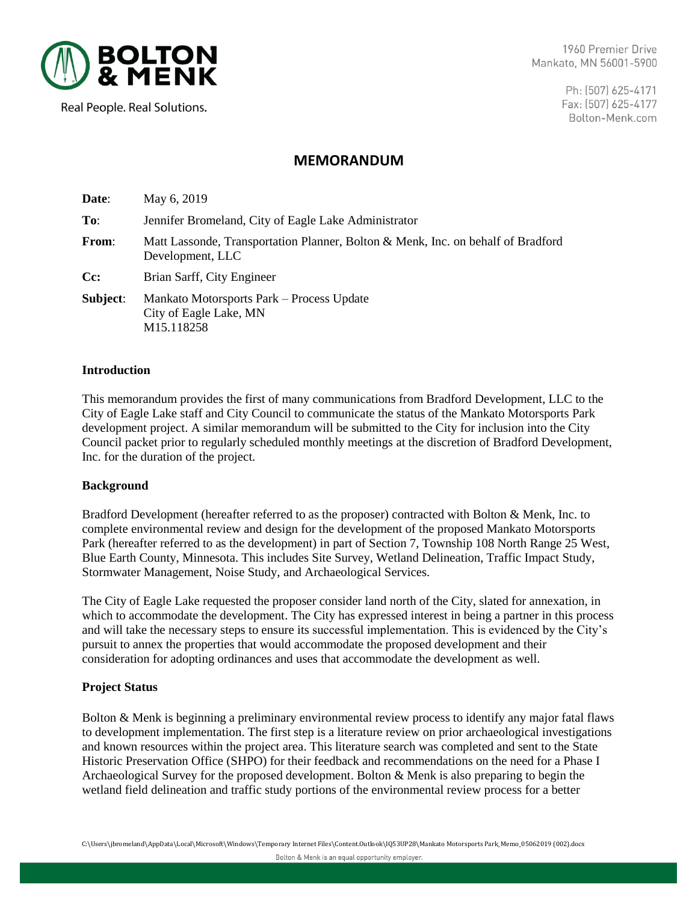

1960 Premier Drive Mankato, MN 56001-5900

Real People. Real Solutions.

Ph: (507) 625-4171 Fax: (507) 625-4177 Bolton-Menk.com

# **MEMORANDUM**

| Date:        | May 6, 2019                                                                                          |
|--------------|------------------------------------------------------------------------------------------------------|
| To:          | Jennifer Bromeland, City of Eagle Lake Administrator                                                 |
| <b>From:</b> | Matt Lassonde, Transportation Planner, Bolton & Menk, Inc. on behalf of Bradford<br>Development, LLC |
| Cc:          | Brian Sarff, City Engineer                                                                           |
| Subject:     | Mankato Motorsports Park – Process Update<br>City of Eagle Lake, MN<br>M <sub>15.118258</sub>        |

### **Introduction**

This memorandum provides the first of many communications from Bradford Development, LLC to the City of Eagle Lake staff and City Council to communicate the status of the Mankato Motorsports Park development project. A similar memorandum will be submitted to the City for inclusion into the City Council packet prior to regularly scheduled monthly meetings at the discretion of Bradford Development, Inc. for the duration of the project.

#### **Background**

Bradford Development (hereafter referred to as the proposer) contracted with Bolton & Menk, Inc. to complete environmental review and design for the development of the proposed Mankato Motorsports Park (hereafter referred to as the development) in part of Section 7, Township 108 North Range 25 West, Blue Earth County, Minnesota. This includes Site Survey, Wetland Delineation, Traffic Impact Study, Stormwater Management, Noise Study, and Archaeological Services.

The City of Eagle Lake requested the proposer consider land north of the City, slated for annexation, in which to accommodate the development. The City has expressed interest in being a partner in this process and will take the necessary steps to ensure its successful implementation. This is evidenced by the City's pursuit to annex the properties that would accommodate the proposed development and their consideration for adopting ordinances and uses that accommodate the development as well.

# **Project Status**

Bolton & Menk is beginning a preliminary environmental review process to identify any major fatal flaws to development implementation. The first step is a literature review on prior archaeological investigations and known resources within the project area. This literature search was completed and sent to the State Historic Preservation Office (SHPO) for their feedback and recommendations on the need for a Phase I Archaeological Survey for the proposed development. Bolton & Menk is also preparing to begin the wetland field delineation and traffic study portions of the environmental review process for a better